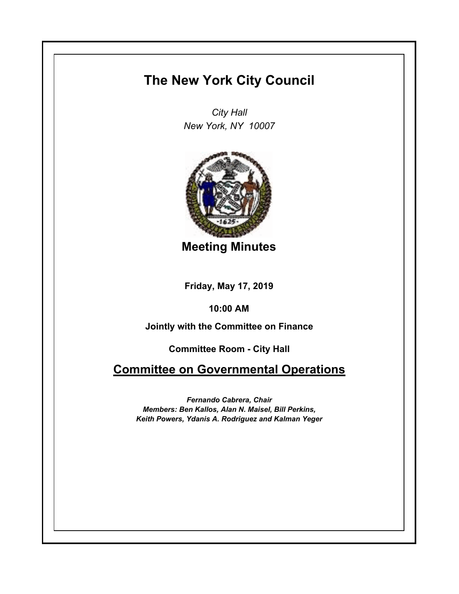## **The New York City Council**

*City Hall New York, NY 10007*



**Meeting Minutes**

**Friday, May 17, 2019**

**10:00 AM**

**Jointly with the Committee on Finance**

**Committee Room - City Hall**

**Committee on Governmental Operations**

*Fernando Cabrera, Chair Members: Ben Kallos, Alan N. Maisel, Bill Perkins, Keith Powers, Ydanis A. Rodriguez and Kalman Yeger*